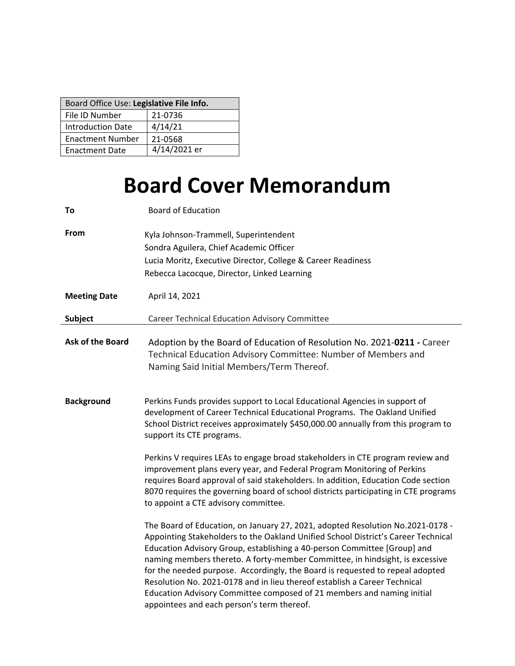| Board Office Use: Legislative File Info. |              |  |  |
|------------------------------------------|--------------|--|--|
| File ID Number                           | 21-0736      |  |  |
| <b>Introduction Date</b>                 | 4/14/21      |  |  |
| <b>Enactment Number</b>                  | 21-0568      |  |  |
| <b>Enactment Date</b>                    | 4/14/2021 er |  |  |

# **Board Cover Memorandum**

| To                      | <b>Board of Education</b>                                                                                                                                                                                                                                                                                                                                                                                                                                                                                                                                                                                             |  |  |
|-------------------------|-----------------------------------------------------------------------------------------------------------------------------------------------------------------------------------------------------------------------------------------------------------------------------------------------------------------------------------------------------------------------------------------------------------------------------------------------------------------------------------------------------------------------------------------------------------------------------------------------------------------------|--|--|
| From                    | Kyla Johnson-Trammell, Superintendent<br>Sondra Aguilera, Chief Academic Officer<br>Lucia Moritz, Executive Director, College & Career Readiness<br>Rebecca Lacocque, Director, Linked Learning                                                                                                                                                                                                                                                                                                                                                                                                                       |  |  |
| <b>Meeting Date</b>     | April 14, 2021                                                                                                                                                                                                                                                                                                                                                                                                                                                                                                                                                                                                        |  |  |
| <b>Subject</b>          | <b>Career Technical Education Advisory Committee</b>                                                                                                                                                                                                                                                                                                                                                                                                                                                                                                                                                                  |  |  |
| <b>Ask of the Board</b> | Adoption by the Board of Education of Resolution No. 2021-0211 - Career<br>Technical Education Advisory Committee: Number of Members and<br>Naming Said Initial Members/Term Thereof.                                                                                                                                                                                                                                                                                                                                                                                                                                 |  |  |
| <b>Background</b>       | Perkins Funds provides support to Local Educational Agencies in support of<br>development of Career Technical Educational Programs. The Oakland Unified<br>School District receives approximately \$450,000.00 annually from this program to<br>support its CTE programs.                                                                                                                                                                                                                                                                                                                                             |  |  |
|                         | Perkins V requires LEAs to engage broad stakeholders in CTE program review and<br>improvement plans every year, and Federal Program Monitoring of Perkins<br>requires Board approval of said stakeholders. In addition, Education Code section<br>8070 requires the governing board of school districts participating in CTE programs<br>to appoint a CTE advisory committee.                                                                                                                                                                                                                                         |  |  |
|                         | The Board of Education, on January 27, 2021, adopted Resolution No.2021-0178 -<br>Appointing Stakeholders to the Oakland Unified School District's Career Technical<br>Education Advisory Group, establishing a 40-person Committee [Group] and<br>naming members thereto. A forty-member Committee, in hindsight, is excessive<br>for the needed purpose. Accordingly, the Board is requested to repeal adopted<br>Resolution No. 2021-0178 and in lieu thereof establish a Career Technical<br>Education Advisory Committee composed of 21 members and naming initial<br>appointees and each person's term thereof. |  |  |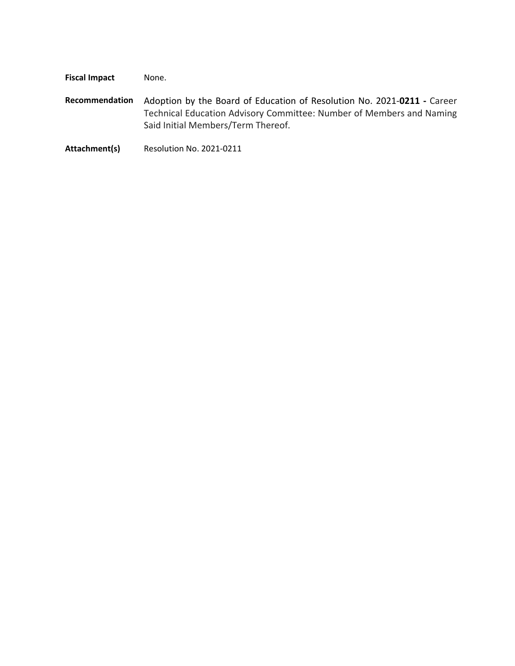**Fiscal Impact** None.

- **Recommendation** Adoption by the Board of Education of Resolution No. 2021‐**0211 ‐** Career Technical Education Advisory Committee: Number of Members and Naming Said Initial Members/Term Thereof.
- **Attachment(s)** Resolution No. 2021‐0211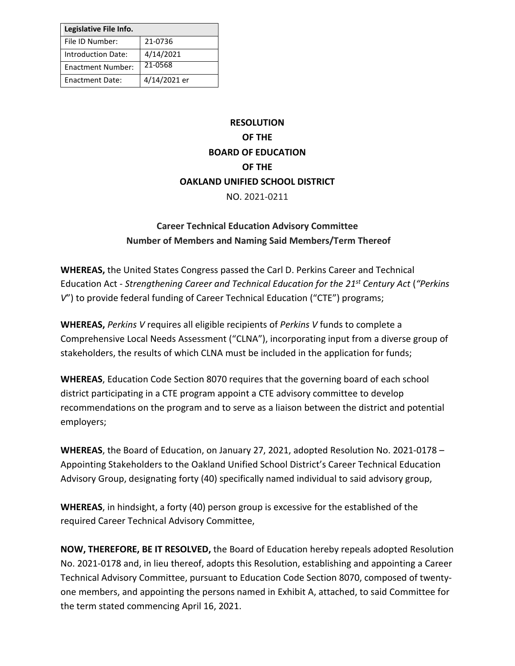| Legislative File Info.   |              |
|--------------------------|--------------|
| File ID Number:          | 21-0736      |
| Introduction Date:       | 4/14/2021    |
| <b>Enactment Number:</b> | 21-0568      |
| <b>Enactment Date:</b>   | 4/14/2021 er |

## **RESOLUTION OF THE BOARD OF EDUCATION OF THE OAKLAND UNIFIED SCHOOL DISTRICT** NO. 2021-0211

### **Career Technical Education Advisory Committee Number of Members and Naming Said Members/Term Thereof**

**WHEREAS,** the United States Congress passed the Carl D. Perkins Career and Technical Education Act - *Strengthening Career and Technical Education for the 21 st Century Act* (*"Perkins V*") to provide federal funding of Career Technical Education ("CTE") programs;

**WHEREAS,** *Perkins V* requires all eligible recipients of *Perkins V* funds to complete a Comprehensive Local Needs Assessment ("CLNA"), incorporating input from a diverse group of stakeholders, the results of which CLNA must be included in the application for funds;

**WHEREAS**, Education Code Section 8070 requires that the governing board of each school district participating in a CTE program appoint a CTE advisory committee to develop recommendations on the program and to serve as a liaison between the district and potential employers;

**WHEREAS**, the Board of Education, on January 27, 2021, adopted Resolution No. 2021-0178 – Appointing Stakeholders to the Oakland Unified School District's Career Technical Education Advisory Group, designating forty (40) specifically named individual to said advisory group,

**WHEREAS**, in hindsight, a forty (40) person group is excessive for the established of the required Career Technical Advisory Committee,

**NOW, THEREFORE, BE IT RESOLVED,** the Board of Education hereby repeals adopted Resolution No. 2021-0178 and, in lieu thereof, adopts this Resolution, establishing and appointing a Career Technical Advisory Committee, pursuant to Education Code Section 8070, composed of twentyone members, and appointing the persons named in Exhibit A, attached, to said Committee for the term stated commencing April 16, 2021.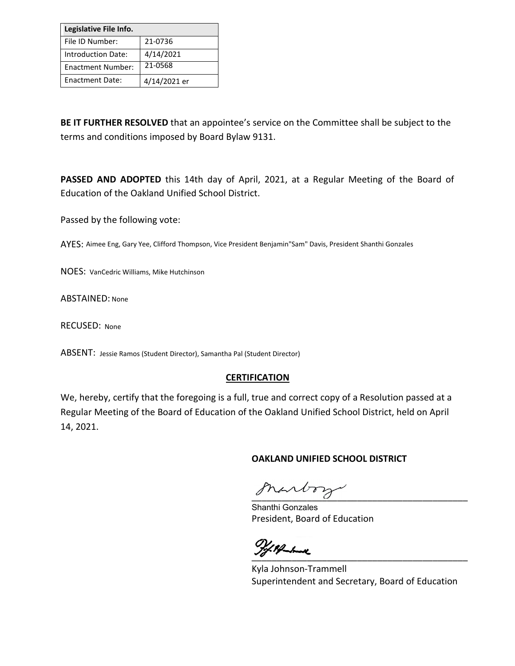| Legislative File Info.   |              |
|--------------------------|--------------|
| File ID Number:          | 21-0736      |
| Introduction Date:       | 4/14/2021    |
| <b>Enactment Number:</b> | 21-0568      |
| <b>Enactment Date:</b>   | 4/14/2021 er |

**BE IT FURTHER RESOLVED** that an appointee's service on the Committee shall be subject to the terms and conditions imposed by Board Bylaw 9131.

**PASSED AND ADOPTED** this 14th day of April, 2021, at a Regular Meeting of the Board of Education of the Oakland Unified School District.

Passed by the following vote:

AYES: Aimee Eng, Gary Yee, Clifford Thompson, Vice President Benjamin"Sam" Davis, President Shanthi Gonzales

NOES: VanCedric Williams, Mike Hutchinson

ABSTAINED: None

RECUSED: None

ABSENT: Jessie Ramos (Student Director), Samantha Pal (Student Director)

#### **CERTIFICATION**

We, hereby, certify that the foregoing is a full, true and correct copy of a Resolution passed at a Regular Meeting of the Board of Education of the Oakland Unified School District, held on April 14, 2021.

#### **OAKLAND UNIFIED SCHOOL DISTRICT**

marbory

Shanthi Gonzales President, Board of Education

and the set of the set of the set of the set of the set of the set of the set of the set of the set of the set

Kyla Johnson-Trammell Superintendent and Secretary, Board of Education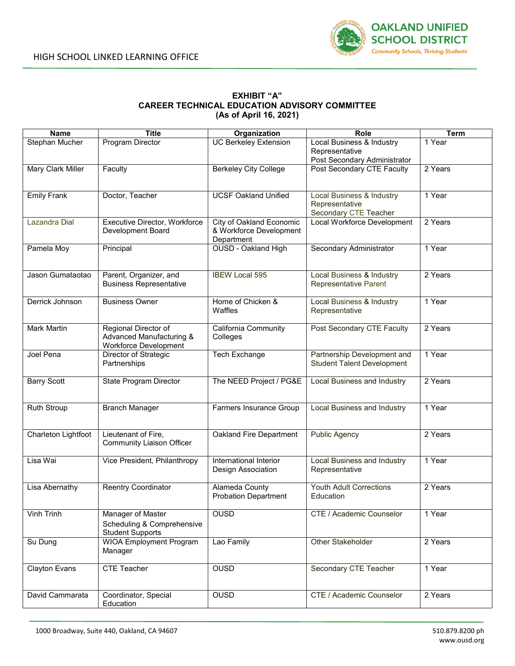

#### **EXHIBIT "A" CAREER TECHNICAL EDUCATION ADVISORY COMMITTEE (As of April 16, 2021)**

| <b>Name</b>          | <b>Title</b>                                                                      | Organization                                                      | Role                                                                            | <b>Term</b> |
|----------------------|-----------------------------------------------------------------------------------|-------------------------------------------------------------------|---------------------------------------------------------------------------------|-------------|
| Stephan Mucher       | Program Director                                                                  | <b>UC Berkeley Extension</b>                                      | Local Business & Industry<br>Representative<br>Post Secondary Administrator     | 1 Year      |
| Mary Clark Miller    | Faculty                                                                           | <b>Berkeley City College</b>                                      | Post Secondary CTE Faculty                                                      | 2 Years     |
| <b>Emily Frank</b>   | Doctor, Teacher                                                                   | <b>UCSF Oakland Unified</b>                                       | <b>Local Business &amp; Industry</b><br>Representative<br>Secondary CTE Teacher | 1 Year      |
| <b>Lazandra Dial</b> | Executive Director, Workforce<br><b>Development Board</b>                         | City of Oakland Economic<br>& Workforce Development<br>Department | Local Workforce Development                                                     | 2 Years     |
| Pamela Moy           | Principal                                                                         | <b>OUSD - Oakland High</b>                                        | Secondary Administrator                                                         | 1 Year      |
| Jason Gumataotao     | Parent, Organizer, and<br><b>Business Representative</b>                          | <b>IBEW Local 595</b>                                             | Local Business & Industry<br><b>Representative Parent</b>                       | 2 Years     |
| Derrick Johnson      | <b>Business Owner</b>                                                             | Home of Chicken &<br>Waffles                                      | <b>Local Business &amp; Industry</b><br>Representative                          | 1 Year      |
| Mark Martin          | Regional Director of<br>Advanced Manufacturing &<br><b>Workforce Development</b>  | California Community<br>Colleges                                  | Post Secondary CTE Faculty                                                      | 2 Years     |
| Joel Pena            | Director of Strategic<br>Partnerships                                             | <b>Tech Exchange</b>                                              | Partnership Development and<br><b>Student Talent Development</b>                | 1 Year      |
| <b>Barry Scott</b>   | State Program Director                                                            | The NEED Project / PG&E                                           | <b>Local Business and Industry</b>                                              | 2 Years     |
| <b>Ruth Stroup</b>   | <b>Branch Manager</b>                                                             | Farmers Insurance Group                                           | <b>Local Business and Industry</b>                                              | 1 Year      |
| Charleton Lightfoot  | Lieutenant of Fire,<br><b>Community Liaison Officer</b>                           | Oakland Fire Department                                           | <b>Public Agency</b>                                                            | 2 Years     |
| Lisa Wai             | Vice President, Philanthropy                                                      | International Interior<br>Design Association                      | <b>Local Business and Industry</b><br>Representative                            | 1 Year      |
| Lisa Abernathy       | <b>Reentry Coordinator</b>                                                        | Alameda County<br><b>Probation Department</b>                     | <b>Youth Adult Corrections</b><br>Education                                     | 2 Years     |
| Vinh Trinh           | <b>Manager of Master</b><br>Scheduling & Comprehensive<br><b>Student Supports</b> | <b>OUSD</b>                                                       | CTE / Academic Counselor                                                        | 1 Year      |
| Su Dung              | <b>WIOA</b> Employment Program<br>Manager                                         | Lao Family                                                        | Other Stakeholder                                                               | 2 Years     |
| <b>Clayton Evans</b> | <b>CTE Teacher</b>                                                                | <b>OUSD</b>                                                       | Secondary CTE Teacher                                                           | 1 Year      |
| David Cammarata      | Coordinator, Special<br>Education                                                 | <b>OUSD</b>                                                       | CTE / Academic Counselor                                                        | 2 Years     |